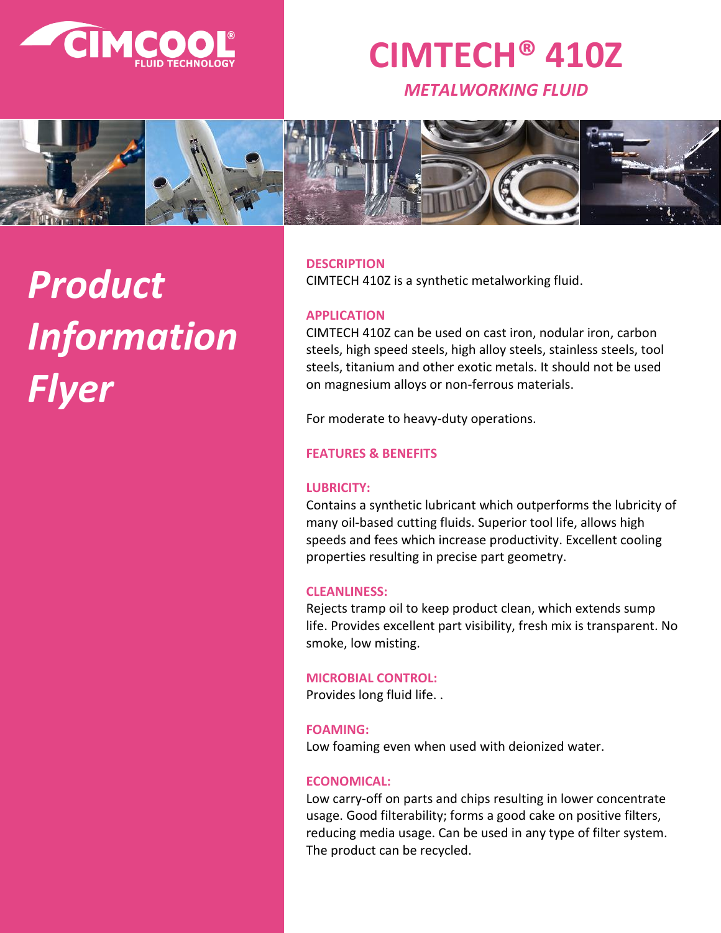

# **CIMTECH® 410Z**

*METALWORKING FLUID*



# *Product Information Flyer*

**DESCRIPTION**

CIMTECH 410Z is a synthetic metalworking fluid.

# **APPLICATION**

CIMTECH 410Z can be used on cast iron, nodular iron, carbon steels, high speed steels, high alloy steels, stainless steels, tool steels, titanium and other exotic metals. It should not be used on magnesium alloys or non-ferrous materials.

For moderate to heavy-duty operations.

# **FEATURES & BENEFITS**

# **LUBRICITY:**

Contains a synthetic lubricant which outperforms the lubricity of many oil-based cutting fluids. Superior tool life, allows high speeds and fees which increase productivity. Excellent cooling properties resulting in precise part geometry.

#### **CLEANLINESS:**

Rejects tramp oil to keep product clean, which extends sump life. Provides excellent part visibility, fresh mix is transparent. No smoke, low misting.

# **MICROBIAL CONTROL:**

Provides long fluid life. .

#### **FOAMING:**

Low foaming even when used with deionized water.

# **ECONOMICAL:**

Low carry-off on parts and chips resulting in lower concentrate usage. Good filterability; forms a good cake on positive filters, reducing media usage. Can be used in any type of filter system. The product can be recycled.